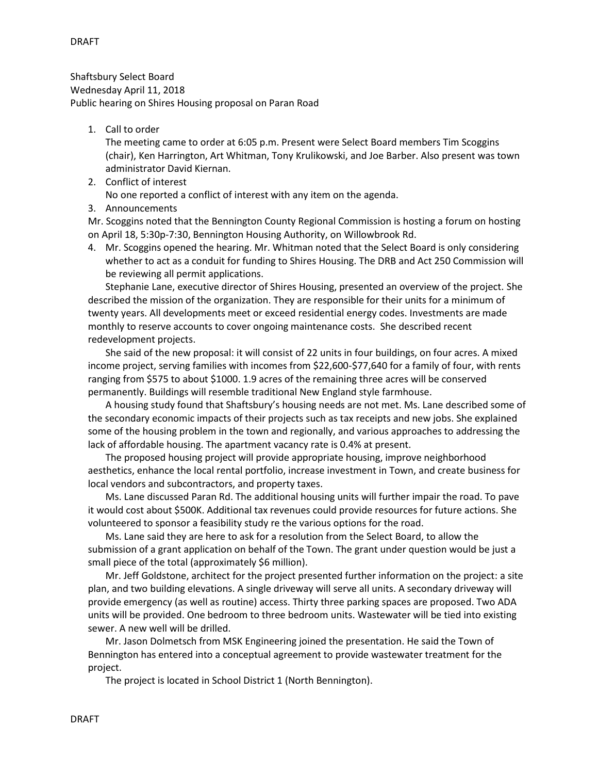Shaftsbury Select Board Wednesday April 11, 2018 Public hearing on Shires Housing proposal on Paran Road

## 1. Call to order

The meeting came to order at 6:05 p.m. Present were Select Board members Tim Scoggins (chair), Ken Harrington, Art Whitman, Tony Krulikowski, and Joe Barber. Also present was town administrator David Kiernan.

2. Conflict of interest

No one reported a conflict of interest with any item on the agenda.

3. Announcements

Mr. Scoggins noted that the Bennington County Regional Commission is hosting a forum on hosting on April 18, 5:30p-7:30, Bennington Housing Authority, on Willowbrook Rd.

4. Mr. Scoggins opened the hearing. Mr. Whitman noted that the Select Board is only considering whether to act as a conduit for funding to Shires Housing. The DRB and Act 250 Commission will be reviewing all permit applications.

Stephanie Lane, executive director of Shires Housing, presented an overview of the project. She described the mission of the organization. They are responsible for their units for a minimum of twenty years. All developments meet or exceed residential energy codes. Investments are made monthly to reserve accounts to cover ongoing maintenance costs. She described recent redevelopment projects.

She said of the new proposal: it will consist of 22 units in four buildings, on four acres. A mixed income project, serving families with incomes from \$22,600-\$77,640 for a family of four, with rents ranging from \$575 to about \$1000. 1.9 acres of the remaining three acres will be conserved permanently. Buildings will resemble traditional New England style farmhouse.

A housing study found that Shaftsbury's housing needs are not met. Ms. Lane described some of the secondary economic impacts of their projects such as tax receipts and new jobs. She explained some of the housing problem in the town and regionally, and various approaches to addressing the lack of affordable housing. The apartment vacancy rate is 0.4% at present.

The proposed housing project will provide appropriate housing, improve neighborhood aesthetics, enhance the local rental portfolio, increase investment in Town, and create business for local vendors and subcontractors, and property taxes.

Ms. Lane discussed Paran Rd. The additional housing units will further impair the road. To pave it would cost about \$500K. Additional tax revenues could provide resources for future actions. She volunteered to sponsor a feasibility study re the various options for the road.

Ms. Lane said they are here to ask for a resolution from the Select Board, to allow the submission of a grant application on behalf of the Town. The grant under question would be just a small piece of the total (approximately \$6 million).

 Mr. Jeff Goldstone, architect for the project presented further information on the project: a site plan, and two building elevations. A single driveway will serve all units. A secondary driveway will provide emergency (as well as routine) access. Thirty three parking spaces are proposed. Two ADA units will be provided. One bedroom to three bedroom units. Wastewater will be tied into existing sewer. A new well will be drilled.

 Mr. Jason Dolmetsch from MSK Engineering joined the presentation. He said the Town of Bennington has entered into a conceptual agreement to provide wastewater treatment for the project.

The project is located in School District 1 (North Bennington).